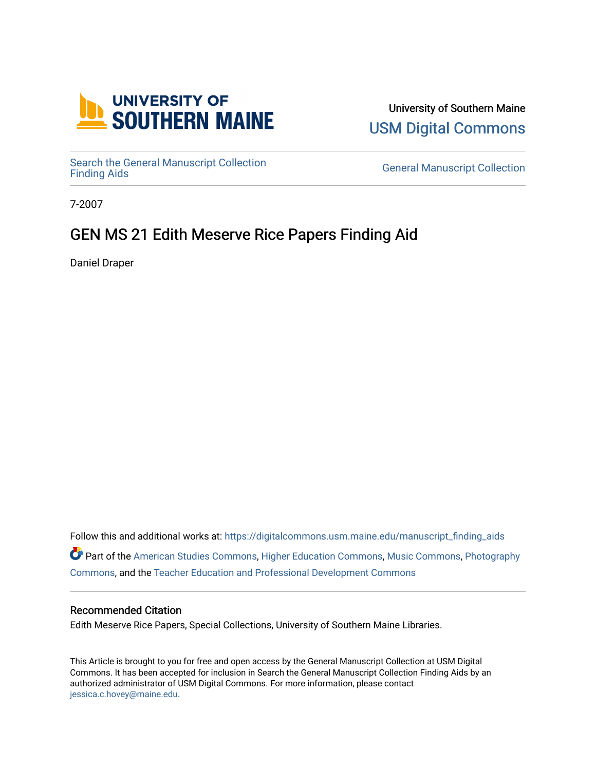

University of Southern Maine [USM Digital Commons](https://digitalcommons.usm.maine.edu/) 

Search the General Manuscript Collection<br>Finding Aids

**General Manuscript Collection** 

7-2007

# GEN MS 21 Edith Meserve Rice Papers Finding Aid

Daniel Draper

Follow this and additional works at: [https://digitalcommons.usm.maine.edu/manuscript\\_finding\\_aids](https://digitalcommons.usm.maine.edu/manuscript_finding_aids?utm_source=digitalcommons.usm.maine.edu%2Fmanuscript_finding_aids%2F21&utm_medium=PDF&utm_campaign=PDFCoverPages)  Part of the [American Studies Commons](http://network.bepress.com/hgg/discipline/439?utm_source=digitalcommons.usm.maine.edu%2Fmanuscript_finding_aids%2F21&utm_medium=PDF&utm_campaign=PDFCoverPages), [Higher Education Commons](http://network.bepress.com/hgg/discipline/1245?utm_source=digitalcommons.usm.maine.edu%2Fmanuscript_finding_aids%2F21&utm_medium=PDF&utm_campaign=PDFCoverPages), [Music Commons](http://network.bepress.com/hgg/discipline/518?utm_source=digitalcommons.usm.maine.edu%2Fmanuscript_finding_aids%2F21&utm_medium=PDF&utm_campaign=PDFCoverPages), [Photography](http://network.bepress.com/hgg/discipline/1142?utm_source=digitalcommons.usm.maine.edu%2Fmanuscript_finding_aids%2F21&utm_medium=PDF&utm_campaign=PDFCoverPages) [Commons](http://network.bepress.com/hgg/discipline/1142?utm_source=digitalcommons.usm.maine.edu%2Fmanuscript_finding_aids%2F21&utm_medium=PDF&utm_campaign=PDFCoverPages), and the [Teacher Education and Professional Development Commons](http://network.bepress.com/hgg/discipline/803?utm_source=digitalcommons.usm.maine.edu%2Fmanuscript_finding_aids%2F21&utm_medium=PDF&utm_campaign=PDFCoverPages)

#### Recommended Citation

Edith Meserve Rice Papers, Special Collections, University of Southern Maine Libraries.

This Article is brought to you for free and open access by the General Manuscript Collection at USM Digital Commons. It has been accepted for inclusion in Search the General Manuscript Collection Finding Aids by an authorized administrator of USM Digital Commons. For more information, please contact [jessica.c.hovey@maine.edu.](mailto:ian.fowler@maine.edu)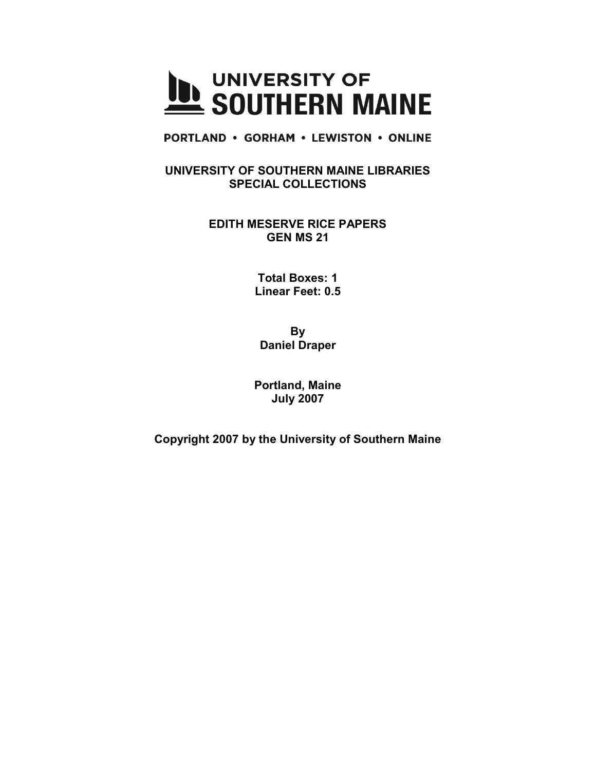

**PORTLAND • GORHAM • LEWISTON • ONLINE** 

**UNIVERSITY OF SOUTHERN MAINE LIBRARIES SPECIAL COLLECTIONS**

> **EDITH MESERVE RICE PAPERS GEN MS 21**

> > **Total Boxes: 1 Linear Feet: 0.5**

**By Daniel Draper**

**Portland, Maine July 2007**

**Copyright 2007 by the University of Southern Maine**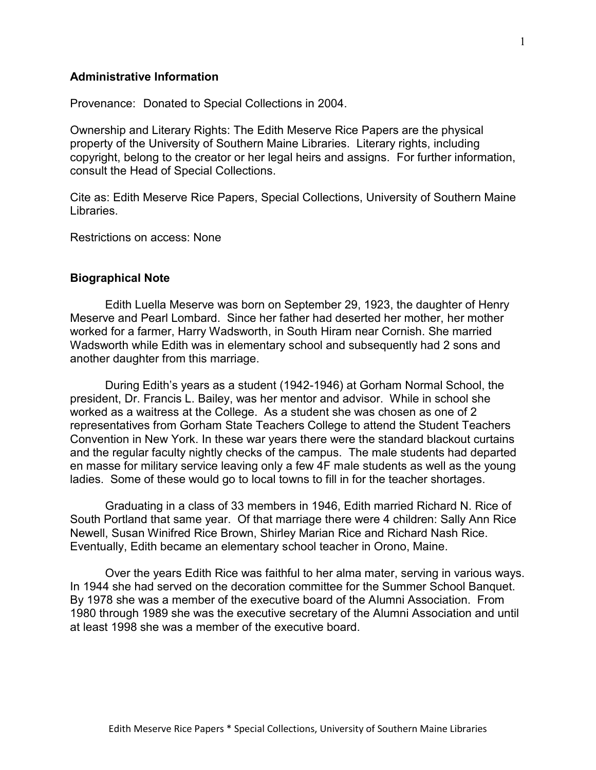## **Administrative Information**

Provenance: Donated to Special Collections in 2004.

Ownership and Literary Rights: The Edith Meserve Rice Papers are the physical property of the University of Southern Maine Libraries. Literary rights, including copyright, belong to the creator or her legal heirs and assigns. For further information, consult the Head of Special Collections.

Cite as: Edith Meserve Rice Papers, Special Collections, University of Southern Maine Libraries.

Restrictions on access: None

### **Biographical Note**

Edith Luella Meserve was born on September 29, 1923, the daughter of Henry Meserve and Pearl Lombard. Since her father had deserted her mother, her mother worked for a farmer, Harry Wadsworth, in South Hiram near Cornish. She married Wadsworth while Edith was in elementary school and subsequently had 2 sons and another daughter from this marriage.

During Edith's years as a student (1942-1946) at Gorham Normal School, the president, Dr. Francis L. Bailey, was her mentor and advisor. While in school she worked as a waitress at the College. As a student she was chosen as one of 2 representatives from Gorham State Teachers College to attend the Student Teachers Convention in New York. In these war years there were the standard blackout curtains and the regular faculty nightly checks of the campus. The male students had departed en masse for military service leaving only a few 4F male students as well as the young ladies. Some of these would go to local towns to fill in for the teacher shortages.

Graduating in a class of 33 members in 1946, Edith married Richard N. Rice of South Portland that same year. Of that marriage there were 4 children: Sally Ann Rice Newell, Susan Winifred Rice Brown, Shirley Marian Rice and Richard Nash Rice. Eventually, Edith became an elementary school teacher in Orono, Maine.

Over the years Edith Rice was faithful to her alma mater, serving in various ways. In 1944 she had served on the decoration committee for the Summer School Banquet. By 1978 she was a member of the executive board of the Alumni Association. From 1980 through 1989 she was the executive secretary of the Alumni Association and until at least 1998 she was a member of the executive board.